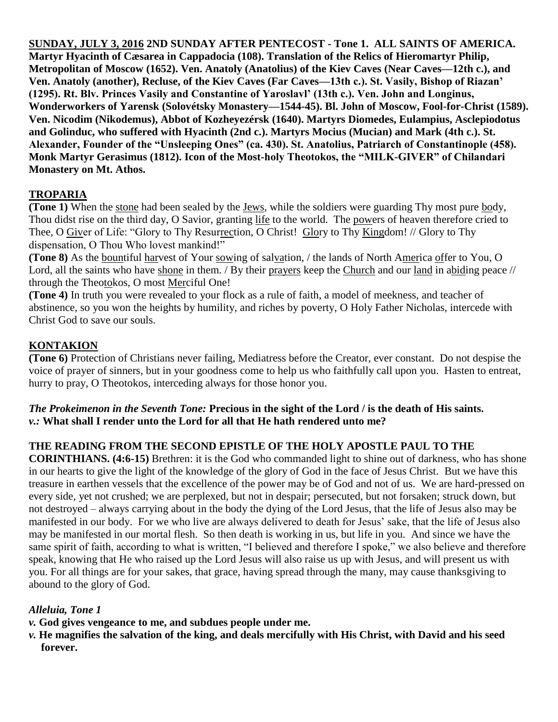**SUNDAY, JULY 3, 2016 2ND SUNDAY AFTER PENTECOST - Tone 1. ALL SAINTS OF AMERICA. Martyr Hyacinth of Cæsarea in Cappadocia (108). Translation of the Relics of Hieromartyr Philip, Metropolitan of Moscow (1652). Ven. Anatoly (Anatolius) of the Kiev Caves (Near Caves—12th c.), and Ven. Anatoly (another), Recluse, of the Kiev Caves (Far Caves—13th c.). St. Vasily, Bishop of Riazan' (1295). Rt. Blv. Princes Vasily and Constantine of Yaroslavl' (13th c.). Ven. John and Longinus, Wonderworkers of Yarensk (Solovétsky Monastery—1544-45). Bl. John of Moscow, Fool-for-Christ (1589). Ven. Nicodim (Nikodemus), Abbot of Kozheyezérsk (1640). Martyrs Diomedes, Eulampius, Asclepiodotus and Golinduc, who suffered with Hyacinth (2nd c.). Martyrs Mocius (Mucian) and Mark (4th c.). St. Alexander, Founder of the "Unsleeping Ones" (ca. 430). St. Anatolius, Patriarch of Constantinople (458). Monk Martyr Gerasimus (1812). Icon of the Most-holy Theotokos, the "MILK-GIVER" of Chilandari Monastery on Mt. Athos.**

# **TROPARIA**

**(Tone 1)** When the stone had been sealed by the Jews, while the soldiers were guarding Thy most pure body, Thou didst rise on the third day, O Savior, granting life to the world. The powers of heaven therefore cried to Thee, O Giver of Life: "Glory to Thy Resurrection, O Christ! Glory to Thy Kingdom! // Glory to Thy dispensation, O Thou Who lovest mankind!"

**(Tone 8)** As the bountiful harvest of Your sowing of salvation, / the lands of North America offer to You, O Lord, all the saints who have shone in them. / By their prayers keep the Church and our land in abiding peace // through the Theotokos, O most Merciful One!

**(Tone 4)** In truth you were revealed to your flock as a rule of faith, a model of meekness, and teacher of abstinence, so you won the heights by humility, and riches by poverty, O Holy Father Nicholas, intercede with Christ God to save our souls.

## **KONTAKION**

**(Tone 6)** Protection of Christians never failing, Mediatress before the Creator, ever constant. Do not despise the voice of prayer of sinners, but in your goodness come to help us who faithfully call upon you. Hasten to entreat, hurry to pray, O Theotokos, interceding always for those honor you.

#### *The Prokeimenon in the Seventh Tone:* **Precious in the sight of the Lord / is the death of His saints.** *v.:* **What shall I render unto the Lord for all that He hath rendered unto me?**

## **THE READING FROM THE SECOND EPISTLE OF THE HOLY APOSTLE PAUL TO THE**

**CORINTHIANS. (4:6-15)** Brethren: it is the God who commanded light to shine out of darkness, who has shone in our hearts to give the light of the knowledge of the glory of God in the face of Jesus Christ.But we have this treasure in earthen vessels that the excellence of the power may be of God and not of us.We are hard-pressed on every side, yet not crushed; we are perplexed, but not in despair; persecuted, but not forsaken; struck down, but not destroyed – always carrying about in the body the dying of the Lord Jesus, that the life of Jesus also may be manifested in our body.For we who live are always delivered to death for Jesus' sake, that the life of Jesus also may be manifested in our mortal flesh.So then death is working in us, but life in you.And since we have the same spirit of faith, according to what is written, "I believed and therefore I spoke," we also believe and therefore speak, knowing that He who raised up the Lord Jesus will also raise us up with Jesus, and will present us with you. For all things are for your sakes, that grace, having spread through the many, may cause thanksgiving to abound to the glory of God.

## *Alleluia, Tone 1*

- *v.* **God gives vengeance to me, and subdues people under me.**
- *v.* **He magnifies the salvation of the king, and deals mercifully with His Christ, with David and his seed forever.**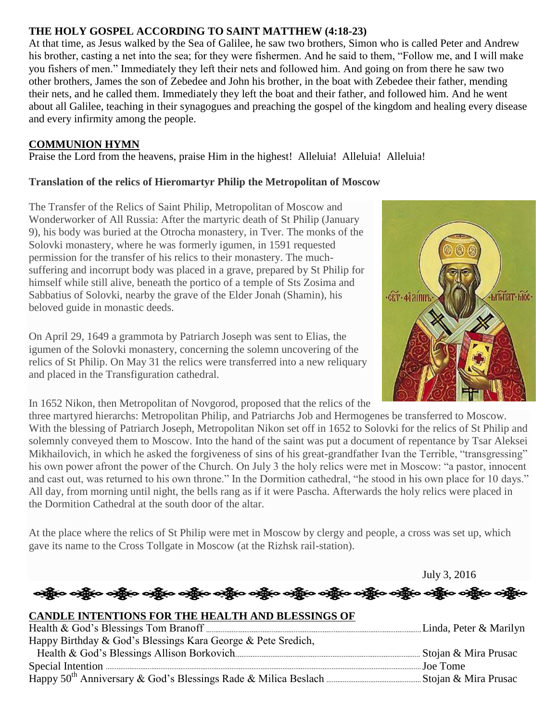# **THE HOLY GOSPEL ACCORDING TO SAINT MATTHEW (4:18-23)**

At that time, as Jesus walked by the Sea of Galilee, he saw two brothers, Simon who is called Peter and Andrew his brother, casting a net into the sea; for they were fishermen. And he said to them, "Follow me, and I will make you fishers of men." Immediately they left their nets and followed him. And going on from there he saw two other brothers, James the son of Zebedee and John his brother, in the boat with Zebedee their father, mending their nets, and he called them. Immediately they left the boat and their father, and followed him. And he went about all Galilee, teaching in their synagogues and preaching the gospel of the kingdom and healing every disease and every infirmity among the people.

#### **COMMUNION HYMN**

Praise the Lord from the heavens, praise Him in the highest! Alleluia! Alleluia! Alleluia!

#### **Translation of the relics of Hieromartyr Philip the Metropolitan of Moscow**

The Transfer of the Relics of Saint Philip, Metropolitan of Moscow and Wonderworker of All Russia: After the martyric death of St Philip (January 9), his body was buried at the Otrocha monastery, in Tver. The monks of the Solovki monastery, where he was formerly igumen, in 1591 requested permission for the transfer of his relics to their monastery. The muchsuffering and incorrupt body was placed in a grave, prepared by St Philip for himself while still alive, beneath the portico of a temple of Sts Zosima and Sabbatius of Solovki, nearby the grave of the Elder Jonah (Shamin), his beloved guide in monastic deeds.

On April 29, 1649 a grammota by Patriarch Joseph was sent to Elias, the igumen of the Solovki monastery, concerning the solemn uncovering of the relics of St Philip. On May 31 the relics were transferred into a new reliquary and placed in the Transfiguration cathedral.



July 3, 2016

In 1652 Nikon, then Metropolitan of Novgorod, proposed that the relics of the

three martyred hierarchs: Metropolitan Philip, and Patriarchs Job and Hermogenes be transferred to Moscow. With the blessing of Patriarch Joseph, Metropolitan Nikon set off in 1652 to Solovki for the relics of St Philip and solemnly conveyed them to Moscow. Into the hand of the saint was put a document of repentance by Tsar Aleksei Mikhailovich, in which he asked the forgiveness of sins of his great-grandfather Ivan the Terrible, "transgressing" his own power afront the power of the Church. On July 3 the holy relics were met in Moscow: "a pastor, innocent and cast out, was returned to his own throne." In the Dormition cathedral, "he stood in his own place for 10 days." All day, from morning until night, the bells rang as if it were Pascha. Afterwards the holy relics were placed in the Dormition Cathedral at the south door of the altar.

At the place where the relics of St Philip were met in Moscow by clergy and people, a cross was set up, which gave its name to the Cross Tollgate in Moscow (at the Rizhsk rail-station).

ရို့လ ဝတ္လွ်ိဳလ ဝတ္လွ်ိဳလ ဝတ္လွ်ိဳလ ဝတ္လွ်ိဳလ ဝတ္လွ်ိဳလ ဝတ္လွ်ိဳလ ဝတ္လွ်ိဳလ ဝတ္လွ်ိဳလ ဝတ္လွ်ိဳလ ဝတ္လွ်ိဳလ ဝတ္လ **CANDLE INTENTIONS FOR THE HEALTH AND BLESSINGS OF**  Health & God's Blessings Tom Branoff Linda, Peter & Marilyn

| Happy Birthday & God's Blessings Kara George & Pete Sredich, |  |
|--------------------------------------------------------------|--|
|                                                              |  |
|                                                              |  |
|                                                              |  |